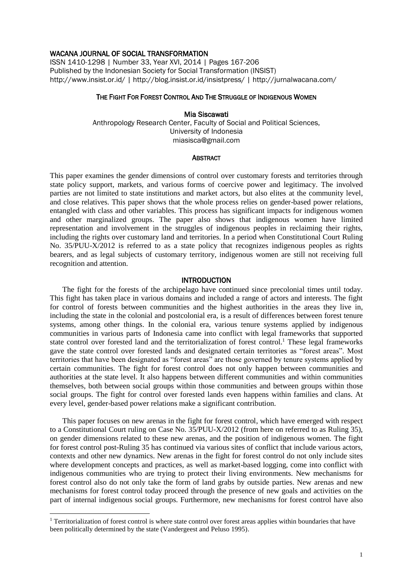# WACANA JOURNAL OF SOCIAL TRANSFORMATION

ISSN 1410-1298 | Number 33, Year XVI, 2014 | Pages 167-206 Published by the Indonesian Society for Social Transformation (INSIST) http://www.insist.or.id/ | http://blog.insist.or.id/insistpress/ | http://jurnalwacana.com/

# THE FIGHT FOR FOREST CONTROL AND THE STRUGGLE OF INDIGENOUS WOMEN

# Mia Siscawati

Anthropology Research Center, Faculty of Social and Political Sciences, University of Indonesia miasisca@gmail.com

### **ABSTRACT**

This paper examines the gender dimensions of control over customary forests and territories through state policy support, markets, and various forms of coercive power and legitimacy. The involved parties are not limited to state institutions and market actors, but also elites at the community level, and close relatives. This paper shows that the whole process relies on gender-based power relations, entangled with class and other variables. This process has significant impacts for indigenous women and other marginalized groups. The paper also shows that indigenous women have limited representation and involvement in the struggles of indigenous peoples in reclaiming their rights, including the rights over customary land and territories. In a period when Constitutional Court Ruling No. 35/PUU-X/2012 is referred to as a state policy that recognizes indigenous peoples as rights bearers, and as legal subjects of customary territory, indigenous women are still not receiving full recognition and attention.

### INTRODUCTION

The fight for the forests of the archipelago have continued since precolonial times until today. This fight has taken place in various domains and included a range of actors and interests. The fight for control of forests between communities and the highest authorities in the areas they live in, including the state in the colonial and postcolonial era, is a result of differences between forest tenure systems, among other things. In the colonial era, various tenure systems applied by indigenous communities in various parts of Indonesia came into conflict with legal frameworks that supported state control over forested land and the territorialization of forest control. <sup>1</sup> These legal frameworks gave the state control over forested lands and designated certain territories as "forest areas". Most territories that have been designated as "forest areas" are those governed by tenure systems applied by certain communities. The fight for forest control does not only happen between communities and authorities at the state level. It also happens between different communities and within communities themselves, both between social groups within those communities and between groups within those social groups. The fight for control over forested lands even happens within families and clans. At every level, gender-based power relations make a significant contribution.

This paper focuses on new arenas in the fight for forest control, which have emerged with respect to a Constitutional Court ruling on Case No. 35/PUU-X/2012 (from here on referred to as Ruling 35), on gender dimensions related to these new arenas, and the position of indigenous women. The fight for forest control post-Ruling 35 has continued via various sites of conflict that include various actors, contexts and other new dynamics. New arenas in the fight for forest control do not only include sites where development concepts and practices, as well as market-based logging, come into conflict with indigenous communities who are trying to protect their living environments. New mechanisms for forest control also do not only take the form of land grabs by outside parties. New arenas and new mechanisms for forest control today proceed through the presence of new goals and activities on the part of internal indigenous social groups. Furthermore, new mechanisms for forest control have also

1

<sup>&</sup>lt;sup>1</sup> Territorialization of forest control is where state control over forest areas applies within boundaries that have been politically determined by the state (Vandergeest and Peluso 1995).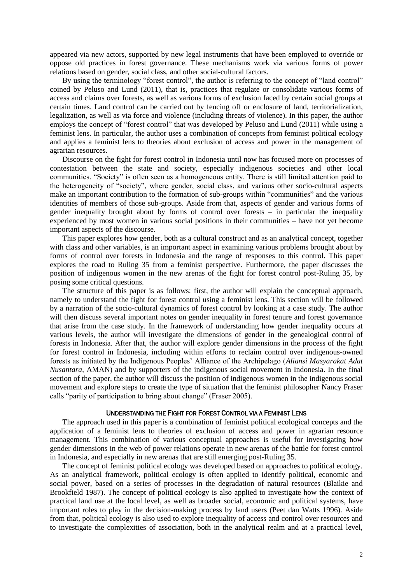appeared via new actors, supported by new legal instruments that have been employed to override or oppose old practices in forest governance. These mechanisms work via various forms of power relations based on gender, social class, and other social-cultural factors.

By using the terminology "forest control", the author is referring to the concept of "land control" coined by Peluso and Lund (2011), that is, practices that regulate or consolidate various forms of access and claims over forests, as well as various forms of exclusion faced by certain social groups at certain times. Land control can be carried out by fencing off or enclosure of land, territorialization, legalization, as well as via force and violence (including threats of violence). In this paper, the author employs the concept of "forest control" that was developed by Peluso and Lund (2011) while using a feminist lens. In particular, the author uses a combination of concepts from feminist political ecology and applies a feminist lens to theories about exclusion of access and power in the management of agrarian resources.

Discourse on the fight for forest control in Indonesia until now has focused more on processes of contestation between the state and society, especially indigenous societies and other local communities. "Society" is often seen as a homogeneous entity. There is still limited attention paid to the heterogeneity of "society", where gender, social class, and various other socio-cultural aspects make an important contribution to the formation of sub-groups within "communities" and the various identities of members of those sub-groups. Aside from that, aspects of gender and various forms of gender inequality brought about by forms of control over forests – in particular the inequality experienced by most women in various social positions in their communities – have not yet become important aspects of the discourse.

This paper explores how gender, both as a cultural construct and as an analytical concept, together with class and other variables, is an important aspect in examining various problems brought about by forms of control over forests in Indonesia and the range of responses to this control. This paper explores the road to Ruling 35 from a feminist perspective. Furthermore, the paper discusses the position of indigenous women in the new arenas of the fight for forest control post-Ruling 35, by posing some critical questions.

The structure of this paper is as follows: first, the author will explain the conceptual approach, namely to understand the fight for forest control using a feminist lens. This section will be followed by a narration of the socio-cultural dynamics of forest control by looking at a case study. The author will then discuss several important notes on gender inequality in forest tenure and forest governance that arise from the case study. In the framework of understanding how gender inequality occurs at various levels, the author will investigate the dimensions of gender in the genealogical control of forests in Indonesia. After that, the author will explore gender dimensions in the process of the fight for forest control in Indonesia, including within efforts to reclaim control over indigenous-owned forests as initiated by the Indigenous Peoples' Alliance of the Archipelago (*Aliansi Masyarakat Adat Nusantara*, AMAN) and by supporters of the indigenous social movement in Indonesia. In the final section of the paper, the author will discuss the position of indigenous women in the indigenous social movement and explore steps to create the type of situation that the feminist philosopher Nancy Fraser calls "parity of participation to bring about change" (Fraser 2005).

## UNDERSTANDING THE FIGHT FOR FOREST CONTROL VIA A FEMINIST LENS

The approach used in this paper is a combination of feminist political ecological concepts and the application of a feminist lens to theories of exclusion of access and power in agrarian resource management. This combination of various conceptual approaches is useful for investigating how gender dimensions in the web of power relations operate in new arenas of the battle for forest control in Indonesia, and especially in new arenas that are still emerging post-Ruling 35.

The concept of feminist political ecology was developed based on approaches to political ecology. As an analytical framework, political ecology is often applied to identify political, economic and social power, based on a series of processes in the degradation of natural resources (Blaikie and Brookfield 1987). The concept of political ecology is also applied to investigate how the context of practical land use at the local level, as well as broader social, economic and political systems, have important roles to play in the decision-making process by land users (Peet dan Watts 1996). Aside from that, political ecology is also used to explore inequality of access and control over resources and to investigate the complexities of association, both in the analytical realm and at a practical level,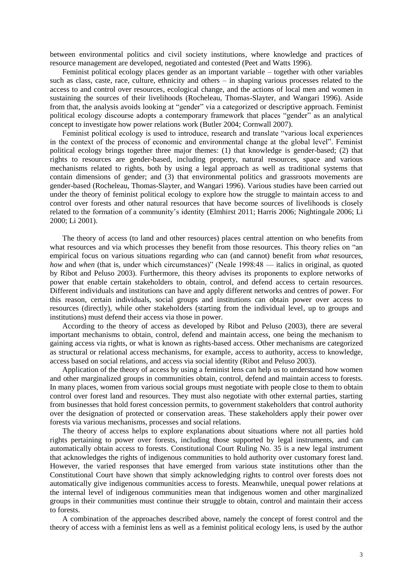between environmental politics and civil society institutions, where knowledge and practices of resource management are developed, negotiated and contested (Peet and Watts 1996).

Feminist political ecology places gender as an important variable – together with other variables such as class, caste, race, culture, ethnicity and others – in shaping various processes related to the access to and control over resources, ecological change, and the actions of local men and women in sustaining the sources of their livelihoods (Rocheleau, Thomas-Slayter, and Wangari 1996). Aside from that, the analysis avoids looking at "gender" via a categorized or descriptive approach. Feminist political ecology discourse adopts a contemporary framework that places "gender" as an analytical concept to investigate how power relations work (Butler 2004; Cornwall 2007).

Feminist political ecology is used to introduce, research and translate "various local experiences in the context of the process of economic and environmental change at the global level". Feminist political ecology brings together three major themes: (1) that knowledge is gender-based; (2) that rights to resources are gender-based, including property, natural resources, space and various mechanisms related to rights, both by using a legal approach as well as traditional systems that contain dimensions of gender; and (3) that environmental politics and grassroots movements are gender-based (Rocheleau, Thomas-Slayter, and Wangari 1996). Various studies have been carried out under the theory of feminist political ecology to explore how the struggle to maintain access to and control over forests and other natural resources that have become sources of livelihoods is closely related to the formation of a community's identity (Elmhirst 2011; Harris 2006; Nightingale 2006; Li 2000; Li 2001).

The theory of access (to land and other resources) places central attention on who benefits from what resources and via which processes they benefit from those resources. This theory relies on "an empirical focus on various situations regarding *who* can (and cannot) benefit from *what* resources, *how* and *when* (that is, under which circumstances)" (Neale 1998:48 — italics in original, as quoted by Ribot and Peluso 2003). Furthermore, this theory advises its proponents to explore networks of power that enable certain stakeholders to obtain, control, and defend access to certain resources. Different individuals and institutions can have and apply different networks and centres of power. For this reason, certain individuals, social groups and institutions can obtain power over access to resources (directly), while other stakeholders (starting from the individual level, up to groups and institutions) must defend their access via those in power.

According to the theory of access as developed by Ribot and Peluso (2003), there are several important mechanisms to obtain, control, defend and maintain access, one being the mechanism to gaining access via rights, or what is known as rights-based access. Other mechanisms are categorized as structural or relational access mechanisms, for example, access to authority, access to knowledge, access based on social relations, and access via social identity (Ribot and Peluso 2003).

Application of the theory of access by using a feminist lens can help us to understand how women and other marginalized groups in communities obtain, control, defend and maintain access to forests. In many places, women from various social groups must negotiate with people close to them to obtain control over forest land and resources. They must also negotiate with other external parties, starting from businesses that hold forest concession permits, to government stakeholders that control authority over the designation of protected or conservation areas. These stakeholders apply their power over forests via various mechanisms, processes and social relations.

The theory of access helps to explore explanations about situations where not all parties hold rights pertaining to power over forests, including those supported by legal instruments, and can automatically obtain access to forests. Constitutional Court Ruling No. 35 is a new legal instrument that acknowledges the rights of indigenous communities to hold authority over customary forest land. However, the varied responses that have emerged from various state institutions other than the Constitutional Court have shown that simply acknowledging rights to control over forests does not automatically give indigenous communities access to forests. Meanwhile, unequal power relations at the internal level of indigenous communities mean that indigenous women and other marginalized groups in their communities must continue their struggle to obtain, control and maintain their access to forests.

A combination of the approaches described above, namely the concept of forest control and the theory of access with a feminist lens as well as a feminist political ecology lens, is used by the author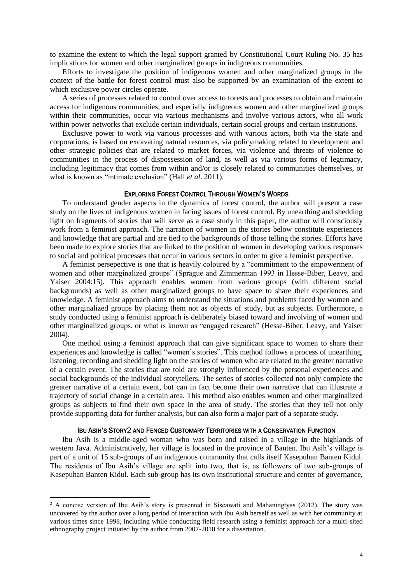to examine the extent to which the legal support granted by Constitutional Court Ruling No. 35 has implications for women and other marginalized groups in indigneous communities.

Efforts to investigate the position of indigenous women and other marginalized groups in the context of the battle for forest control must also be supported by an examination of the extent to which exclusive power circles operate.

A series of processes related to control over access to forests and processes to obtain and maintain access for indigenous communities, and especially indigneous women and other marginalized groups within their communities, occur via various mechanisms and involve various actors, who all work within power networks that exclude certain individuals, certain social groups and certain institutions.

Exclusive power to work via various processes and with various actors, both via the state and corporations, is based on excavating natural resources, via policymaking related to development and other strategic policies that are related to market forces, via violence and threats of violence to communities in the process of dispossession of land, as well as via various forms of legtimacy, including legitimacy that comes from within and/or is closely related to communities themselves, or what is known as "intimate exclusion" (Hall *et al*. 2011).

#### EXPLORING FOREST CONTROL THROUGH WOMEN'S WORDS

To understand gender aspects in the dynamics of forest control, the author will present a case study on the lives of indigenous women in facing issues of forest control. By unearthing and shedding light on fragments of stories that will serve as a case study in this paper, the author will consciously work from a feminist approach. The narration of women in the stories below constitute experiences and knowledge that are partial and are tied to the backgrounds of those telling the stories. Efforts have been made to explore stories that are linked to the position of women in developing various responses to social and political processes that occur in various sectors in order to give a feminist perspective.

A feminist persepective is one that is heavily coloured by a "commitment to the empowerment of women and other marginalized groups" (Sprague and Zimmerman 1993 in Hesse-Biber, Leavy, and Yaiser 2004:15). This approach enables women from various groups (with different social backgrounds) as well as other marginalized groups to have space to share their experiences and knowledge. A feminist approach aims to understand the situations and problems faced by women and other marginalized groups by placing them not as objects of study, but as subjects. Furthermore, a study conducted using a feminist approach is deliberately biased toward and involving of women and other marginalized groups, or what is known as "engaged research" (Hesse-Biber, Leavy, and Yaiser 2004).

One method using a feminist approach that can give significant space to women to share their experiences and knowledge is called "women's stories". This method follows a process of unearthing, listening, recording and shedding light on the stories of women who are related to the greater narrative of a certain event. The stories that are told are strongly influenced by the personal experiences and social backgrounds of the individual storytellers. The series of stories collected not only complete the greater narrative of a certain event, but can in fact become their own narrative that can illustrate a trajectory of social change in a certain area. This method also enables women and other marginalized groups as subjects to find their own space in the area of study. The stories that they tell not only provide supporting data for further analysis, but can also form a major part of a separate study.

### IBU ASIH'S STORY2 AND FENCED CUSTOMARY TERRITORIES WITH A CONSERVATION FUNCTION

Ibu Asih is a middle-aged woman who was born and raised in a village in the highlands of western Java. Administratively, her village is located in the province of Banten. Ibu Asih's village is part of a unit of 15 sub-groups of an indigenous community that calls itself Kasepuhan Banten Kidul. The residents of Ibu Asih's village are split into two, that is, as followers of two sub-groups of Kasepuhan Banten Kidul. Each sub-group has its own institutional structure and center of governance,

**.** 

<sup>&</sup>lt;sup>2</sup> A concise version of Ibu Asih's story is presented in Siscawati and Mahaningtyas (2012). The story was uncovered by the author over a long period of interaction with Ibu Asih herself as well as with her community at various times since 1998, including while conducting field research using a feminist approach for a multi-sited ethnography project initiated by the author from 2007-2010 for a dissertation.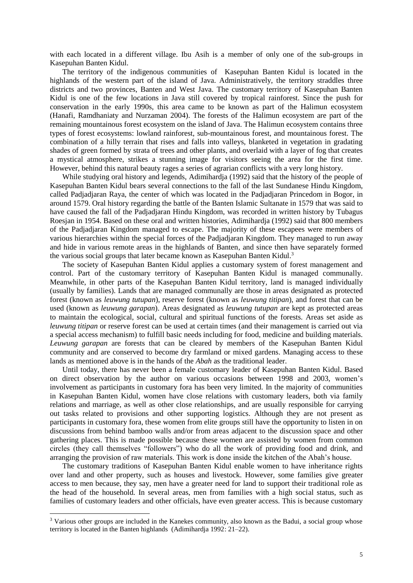with each located in a different village. Ibu Asih is a member of only one of the sub-groups in Kasepuhan Banten Kidul.

The territory of the indigenous communities of Kasepuhan Banten Kidul is located in the highlands of the western part of the island of Java. Administratively, the territory straddles three districts and two provinces, Banten and West Java. The customary territory of Kasepuhan Banten Kidul is one of the few locations in Java still covered by tropical rainforest. Since the push for conservation in the early 1990s, this area came to be known as part of the Halimun ecosystem (Hanafi, Ramdhaniaty and Nurzaman 2004). The forests of the Halimun ecosystem are part of the remaining mountainous forest ecosystem on the island of Java. The Halimun ecosystem contains three types of forest ecosystems: lowland rainforest, sub-mountainous forest, and mountainous forest. The combination of a hilly terrain that rises and falls into valleys, blanketed in vegetation in gradating shades of green formed by strata of trees and other plants, and overlaid with a layer of fog that creates a mystical atmosphere, strikes a stunning image for visitors seeing the area for the first time. However, behind this natural beauty rages a series of agrarian conflicts with a very long history.

While studying oral history and legends, Adimihardja (1992) said that the history of the people of Kasepuhan Banten Kidul bears several connections to the fall of the last Sundanese Hindu Kingdom, called Padjadjaran Raya, the center of which was located in the Padjadjaran Princedom in Bogor, in around 1579. Oral history regarding the battle of the Banten Islamic Sultanate in 1579 that was said to have caused the fall of the Padjadjaran Hindu Kingdom, was recorded in written history by Tubagus Roesjan in 1954. Based on these oral and written histories, Adimihardja (1992) said that 800 members of the Padjadjaran Kingdom managed to escape. The majority of these escapees were members of various hierarchies within the special forces of the Padjadjaran Kingdom. They managed to run away and hide in various remote areas in the highlands of Banten, and since then have separately formed the various social groups that later became known as Kasepuhan Banten Kidul.<sup>3</sup>

The society of Kasepuhan Banten Kidul applies a customary system of forest management and control. Part of the customary territory of Kasepuhan Banten Kidul is managed communally. Meanwhile, in other parts of the Kasepuhan Banten Kidul territory, land is managed individually (usually by families). Lands that are managed communally are those in areas designated as protected forest (known as *leuwung tutupan*), reserve forest (known as *leuwung titipan*), and forest that can be used (known as *leuwung garapan*). Areas designated as *leuwung tutupan* are kept as protected areas to maintain the ecological, social, cultural and spiritual functions of the forests. Areas set aside as *leuwung titipan* or reserve forest can be used at certain times (and their management is carried out via a special access mechanism) to fulfill basic needs including for food, medicine and building materials. *Leuwung garapan* are forests that can be cleared by members of the Kasepuhan Banten Kidul community and are conserved to become dry farmland or mixed gardens. Managing access to these lands as mentioned above is in the hands of the *Abah* as the traditional leader.

Until today, there has never been a female customary leader of Kasepuhan Banten Kidul. Based on direct observation by the author on various occasions between 1998 and 2003, women's involvement as participants in customary fora has been very limited. In the majority of communities in Kasepuhan Banten Kidul, women have close relations with customary leaders, both via family relations and marriage, as well as other close relationships, and are usually responsible for carrying out tasks related to provisions and other supporting logistics. Although they are not present as participants in customary fora, these women from elite groups still have the opportunity to listen in on discussions from behind bamboo walls and/or from areas adjacent to the discussion space and other gathering places. This is made possible because these women are assisted by women from common circles (they call themselves "followers") who do all the work of providing food and drink, and arranging the provision of raw materials. This work is done inside the kitchen of the Abah's house.

The customary traditions of Kasepuhan Banten Kidul enable women to have inheritance rights over land and other property, such as houses and livestock. However, some families give greater access to men because, they say, men have a greater need for land to support their traditional role as the head of the household. In several areas, men from families with a high social status, such as families of customary leaders and other officials, have even greater access. This is because customary

1

<sup>&</sup>lt;sup>3</sup> Various other groups are included in the Kanekes community, also known as the Badui, a social group whose territory is located in the Banten highlands (Adimihardja 1992: 21–22).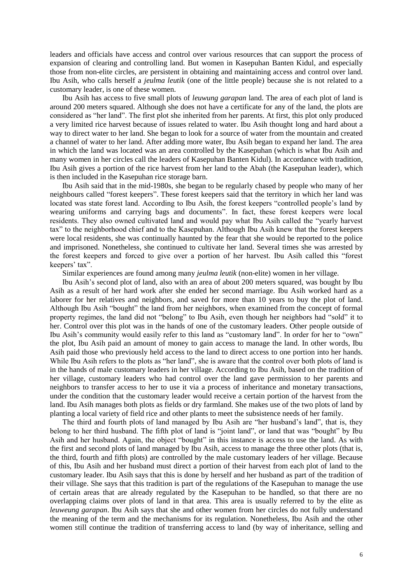leaders and officials have access and control over various resources that can support the process of expansion of clearing and controlling land. But women in Kasepuhan Banten Kidul, and especially those from non-elite circles, are persistent in obtaining and maintaining access and control over land. Ibu Asih, who calls herself a *jeulma leutik* (one of the little people) because she is not related to a customary leader, is one of these women.

Ibu Asih has access to five small plots of *leuwung garapan* land. The area of each plot of land is around 200 meters squared. Although she does not have a certificate for any of the land, the plots are considered as "her land". The first plot she inherited from her parents. At first, this plot only produced a very limited rice harvest because of issues related to water. Ibu Asih thought long and hard about a way to direct water to her land. She began to look for a source of water from the mountain and created a channel of water to her land. After adding more water, Ibu Asih began to expand her land. The area in which the land was located was an area controlled by the Kasepuhan (which is what Ibu Asih and many women in her circles call the leaders of Kasepuhan Banten Kidul). In accordance with tradition, Ibu Asih gives a portion of the rice harvest from her land to the Abah (the Kasepuhan leader), which is then included in the Kasepuhan rice storage barn.

Ibu Asih said that in the mid-1980s, she began to be regularly chased by people who many of her neighbours called "forest keepers". These forest keepers said that the territory in which her land was located was state forest land. According to Ibu Asih, the forest keepers "controlled people's land by wearing uniforms and carrying bags and documents". In fact, these forest keepers were local residents. They also owned cultivated land and would pay what Ibu Asih called the "yearly harvest tax" to the neighborhood chief and to the Kasepuhan. Although Ibu Asih knew that the forest keepers were local residents, she was continually haunted by the fear that she would be reported to the police and imprisoned. Nonetheless, she continued to cultivate her land. Several times she was arrested by the forest keepers and forced to give over a portion of her harvest. Ibu Asih called this "forest keepers' tax".

Similar experiences are found among many *jeulma leutik* (non-elite) women in her village.

Ibu Asih's second plot of land, also with an area of about 200 meters squared, was bought by Ibu Asih as a result of her hard work after she ended her second marriage. Ibu Asih worked hard as a laborer for her relatives and neighbors, and saved for more than 10 years to buy the plot of land. Although Ibu Asih "bought" the land from her neighbors, when examined from the concept of formal property regimes, the land did not "belong" to Ibu Asih, even though her neighbors had "sold" it to her. Control over this plot was in the hands of one of the customary leaders. Other people outside of Ibu Asih's community would easily refer to this land as "customary land". In order for her to "own" the plot, Ibu Asih paid an amount of money to gain access to manage the land. In other words, Ibu Asih paid those who previously held access to the land to direct access to one portion into her hands. While Ibu Asih refers to the plots as "her land", she is aware that the control over both plots of land is in the hands of male customary leaders in her village. According to Ibu Asih, based on the tradition of her village, customary leaders who had control over the land gave permission to her parents and neighbors to transfer access to her to use it via a process of inheritance and monetary transactions, under the condition that the customary leader would receive a certain portion of the harvest from the land. Ibu Asih manages both plots as fields or dry farmland. She makes use of the two plots of land by planting a local variety of field rice and other plants to meet the subsistence needs of her family.

The third and fourth plots of land managed by Ibu Asih are "her husband's land", that is, they belong to her third husband. The fifth plot of land is "joint land", or land that was "bought" by Ibu Asih and her husband. Again, the object "bought" in this instance is access to use the land. As with the first and second plots of land managed by Ibu Asih, access to manage the three other plots (that is, the third, fourth and fifth plots) are controlled by the male customary leaders of her village. Because of this, Ibu Asih and her husband must direct a portion of their harvest from each plot of land to the customary leader. Ibu Asih says that this is done by herself and her husband as part of the tradition of their village. She says that this tradition is part of the regulations of the Kasepuhan to manage the use of certain areas that are already regulated by the Kasepuhan to be handled, so that there are no overlapping claims over plots of land in that area. This area is usually referred to by the elite as *leuweung garapan*. Ibu Asih says that she and other women from her circles do not fully understand the meaning of the term and the mechanisms for its regulation. Nonetheless, Ibu Asih and the other women still continue the tradition of transferring access to land (by way of inheritance, selling and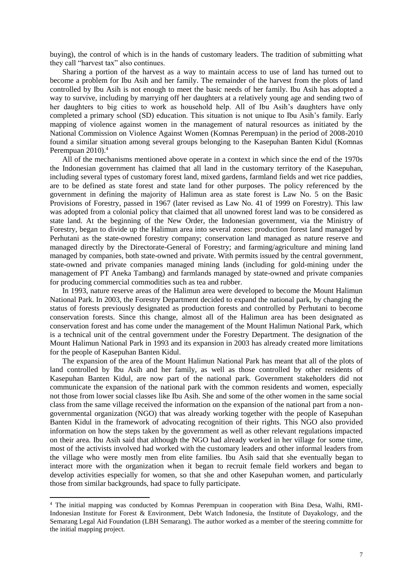buying), the control of which is in the hands of customary leaders. The tradition of submitting what they call "harvest tax" also continues.

Sharing a portion of the harvest as a way to maintain access to use of land has turned out to become a problem for Ibu Asih and her family. The remainder of the harvest from the plots of land controlled by Ibu Asih is not enough to meet the basic needs of her family. Ibu Asih has adopted a way to survive, including by marrying off her daughters at a relatively young age and sending two of her daughters to big cities to work as household help. All of Ibu Asih's daughters have only completed a primary school (SD) education. This situation is not unique to Ibu Asih's family. Early mapping of violence against women in the management of natural resources as initiated by the National Commission on Violence Against Women (Komnas Perempuan) in the period of 2008-2010 found a similar situation among several groups belonging to the Kasepuhan Banten Kidul (Komnas Perempuan 2010).<sup>4</sup>

All of the mechanisms mentioned above operate in a context in which since the end of the 1970s the Indonesian government has claimed that all land in the customary territory of the Kasepuhan, including several types of customary forest land, mixed gardens, farmland fields and wet rice paddies, are to be defined as state forest and state land for other purposes. The policy referenced by the government in defining the majority of Halimun area as state forest is Law No. 5 on the Basic Provisions of Forestry, passed in 1967 (later revised as Law No. 41 of 1999 on Forestry). This law was adopted from a colonial policy that claimed that all unowned forest land was to be considered as state land. At the beginning of the New Order, the Indonesian government, via the Ministry of Forestry, began to divide up the Halimun area into several zones: production forest land managed by Perhutani as the state-owned forestry company; conservation land managed as nature reserve and managed directly by the Directorate-General of Forestry; and farming/agriculture and mining land managed by companies, both state-owned and private. With permits issued by the central government, state-owned and private companies managed mining lands (including for gold-mining under the management of PT Aneka Tambang) and farmlands managed by state-owned and private companies for producing commercial commodities such as tea and rubber.

In 1993, nature reserve areas of the Halimun area were developed to become the Mount Halimun National Park. In 2003, the Forestry Department decided to expand the national park, by changing the status of forests previously designated as production forests and controlled by Perhutani to become conservation forests. Since this change, almost all of the Halimun area has been designated as conservation forest and has come under the management of the Mount Halimun National Park, which is a technical unit of the central government under the Forestry Department. The designation of the Mount Halimun National Park in 1993 and its expansion in 2003 has already created more limitations for the people of Kasepuhan Banten Kidul.

The expansion of the area of the Mount Halimun National Park has meant that all of the plots of land controlled by Ibu Asih and her family, as well as those controlled by other residents of Kasepuhan Banten Kidul, are now part of the national park. Government stakeholders did not communicate the expansion of the national park with the common residents and women, especially not those from lower social classes like Ibu Asih. She and some of the other women in the same social class from the same village received the information on the expansion of the national part from a nongovernmental organization (NGO) that was already working together with the people of Kasepuhan Banten Kidul in the framework of advocating recognition of their rights. This NGO also provided information on how the steps taken by the government as well as other relevant regulations impacted on their area. Ibu Asih said that although the NGO had already worked in her village for some time, most of the activists involved had worked with the customary leaders and other informal leaders from the village who were mostly men from elite families. Ibu Asih said that she eventually began to interact more with the organization when it began to recruit female field workers and began to develop activities especially for women, so that she and other Kasepuhan women, and particularly those from similar backgrounds, had space to fully participate.

**.** 

<sup>4</sup> The initial mapping was conducted by Komnas Perempuan in cooperation with Bina Desa, Walhi, RMI-Indonesian Institute for Forest & Environment, Debt Watch Indonesia, the Institute of Dayakology, and the Semarang Legal Aid Foundation (LBH Semarang). The author worked as a member of the steering committe for the initial mapping project.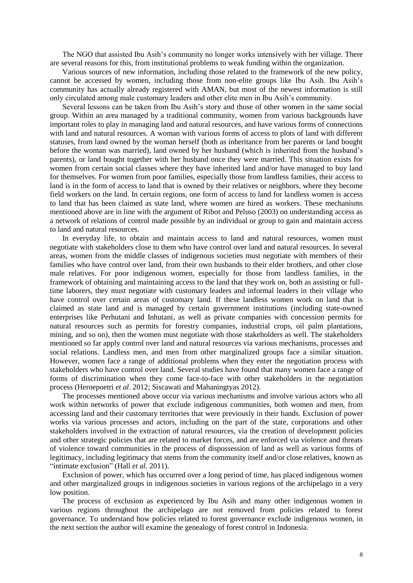The NGO that assisted Ibu Asih's community no longer works intensively with her village. There are several reasons for this, from institutional problems to weak funding within the organization.

Various sources of new information, including those related to the framework of the new policy, cannot be accessed by women, including those from non-elite groups like Ibu Asih. Ibu Asih's community has actually already registered with AMAN, but most of the newest information is still only circulated among male customary leaders and other elite men in Ibu Asih's community.

Several lessons can be taken from Ibu Asih's story and those of other women in the same social group. Within an area managed by a traditional community, women from various backgrounds have important roles to play in managing land and natural resources, and have various forms of connections with land and natural resources. A woman with various forms of access to plots of land with different statuses, from land owned by the woman herself (both as inheritance from her parents or land bought before the woman was married), land owned by her husband (which is inherited from the husband's parents), or land bought together with her husband once they were married. This situation exists for women from certain social classes where they have inherited land and/or have managed to buy land for themselves. For women from poor families, especially those from landless families, their access to land is in the form of access to land that is owned by their relatives or neighbors, where they become field workers on the land. In certain regions, one form of access to land for landless women is access to land that has been claimed as state land, where women are hired as workers. These mechanisms mentioned above are in line with the argument of Ribot and Peluso (2003) on understanding access as a network of relations of control made possible by an individual or group to gain and maintain access to land and natural resources.

In everyday life, to obtain and maintain access to land and natural resources, women must negotiate with stakeholders close to them who have control over land and natural resources. In several areas, women from the middle classes of indigenous societies must negotiate with members of their families who have control over land, from their own husbands to their elder brothers, and other close male relatives. For poor indigenous women, especially for those from landless families, in the framework of obtaining and maintaining access to the land that they work on, both as assisting or fulltime laborers, they must negotiate with customary leaders and informal leaders in their village who have control over certain areas of customary land. If these landless women work on land that is claimed as state land and is managed by certain government institutions (including state-owned enterprises like Perhutani and Inhutani, as well as private companies with concession permits for natural resources such as permits for forestry companies, industrial crops, oil palm plantations, mining, and so on), then the women must negotiate with those stakeholders as well. The stakeholders mentioned so far apply control over land and natural resources via various mechanisms, processes and social relations. Landless men, and men from other marginalized groups face a similar situation. However, women face a range of additional problems when they enter the negotiation process with stakeholders who have control over land. Several studies have found that many women face a range of forms of discrimination when they come face-to-face with other stakeholders in the negotiation process (Heroepoetri *et al*. 2012; Siscawati and Mahaningtyas 2012).

The processes mentioned above occur via various mechanisms and involve various actors who all work within networks of power that exclude indigenous communities, both women and men, from accessing land and their customary territories that were previously in their hands. Exclusion of power works via various processes and actors, including on the part of the state, corporations and other stakeholders involved in the extraction of natural resources, via the creation of development policies and other strategic policies that are related to market forces, and are enforced via violence and threats of violence toward communities in the process of dispossession of land as well as various forms of legitimacy, including legitimacy that stems from the community itself and/or close relatives, known as "intimate exclusion" (Hall *et al*. 2011).

Exclusion of power, which has occurred over a long period of time, has placed indigenous women and other marginalized groups in indigenous societies in various regions of the archipelago in a very low position.

The process of exclusion as experienced by Ibu Asih and many other indigenous women in various regions throughout the archipelago are not removed from policies related to forest governance. To understand how policies related to forest governance exclude indigenous women, in the next section the author will examine the genealogy of forest control in Indonesia.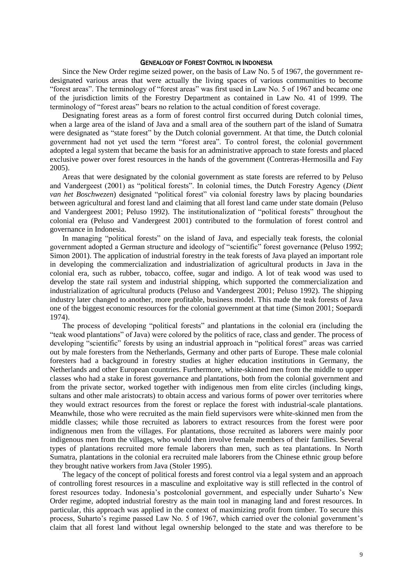#### GENEALOGY OF FOREST CONTROL IN INDONESIA

Since the New Order regime seized power, on the basis of Law No. 5 of 1967, the government redesignated various areas that were actually the living spaces of various communities to become "forest areas". The terminology of "forest areas" was first used in Law No. 5 of 1967 and became one of the jurisdiction limits of the Forestry Department as contained in Law No. 41 of 1999. The terminology of "forest areas" bears no relation to the actual condition of forest coverage.

Designating forest areas as a form of forest control first occurred during Dutch colonial times, when a large area of the island of Java and a small area of the southern part of the island of Sumatra were designated as "state forest" by the Dutch colonial government. At that time, the Dutch colonial government had not yet used the term "forest area". To control forest, the colonial government adopted a legal system that became the basis for an administrative approach to state forests and placed exclusive power over forest resources in the hands of the government (Contreras-Hermosilla and Fay 2005).

Areas that were designated by the colonial government as state forests are referred to by Peluso and Vandergeest (2001) as "political forests". In colonial times, the Dutch Forestry Agency (*Dient van het Boschwezen*) designated "political forest" via colonial forestry laws by placing boundaries between agricultural and forest land and claiming that all forest land came under state domain (Peluso and Vandergeest 2001; Peluso 1992). The institutionalization of "political forests" throughout the colonial era (Peluso and Vandergeest 2001) contributed to the formulation of forest control and governance in Indonesia.

In managing "political forests" on the island of Java, and especially teak forests, the colonial government adopted a German structure and ideology of "scientific" forest governance (Peluso 1992; Simon 2001). The application of industrial forestry in the teak forests of Java played an important role in developing the commercialization and industrialization of agricultural products in Java in the colonial era, such as rubber, tobacco, coffee, sugar and indigo. A lot of teak wood was used to develop the state rail system and industrial shipping, which supported the commercialization and industrialization of agricultural products (Peluso and Vandergeest 2001; Peluso 1992). The shipping industry later changed to another, more profitable, business model. This made the teak forests of Java one of the biggest economic resources for the colonial government at that time (Simon 2001; Soepardi 1974).

The process of developing "political forests" and plantations in the colonial era (including the "teak wood plantations" of Java) were colored by the politics of race, class and gender. The process of developing "scientific" forests by using an industrial approach in "political forest" areas was carried out by male foresters from the Netherlands, Germany and other parts of Europe. These male colonial foresters had a background in forestry studies at higher education institutions in Germany, the Netherlands and other European countries. Furthermore, white-skinned men from the middle to upper classes who had a stake in forest governance and plantations, both from the colonial government and from the private sector, worked together with indigenous men from elite circles (including kings, sultans and other male aristocrats) to obtain access and various forms of power over territories where they would extract resources from the forest or replace the forest with industrial-scale plantations. Meanwhile, those who were recruited as the main field supervisors were white-skinned men from the middle classes; while those recruited as laborers to extract resources from the forest were poor indignenous men from the villages. For plantations, those recruited as laborers were mainly poor indigenous men from the villages, who would then involve female members of their families. Several types of plantations recruited more female laborers than men, such as tea plantations. In North Sumatra, plantations in the colonial era recruited male laborers from the Chinese ethnic group before they brought native workers from Java (Stoler 1995).

The legacy of the concept of political forests and forest control via a legal system and an approach of controlling forest resources in a masculine and exploitative way is still reflected in the control of forest resources today. Indonesia's postcolonial government, and especially under Suharto's New Order regime, adopted industrial forestry as the main tool in managing land and forest resources. In particular, this approach was applied in the context of maximizing profit from timber. To secure this process, Suharto's regime passed Law No. 5 of 1967, which carried over the colonial government's claim that all forest land without legal ownership belonged to the state and was therefore to be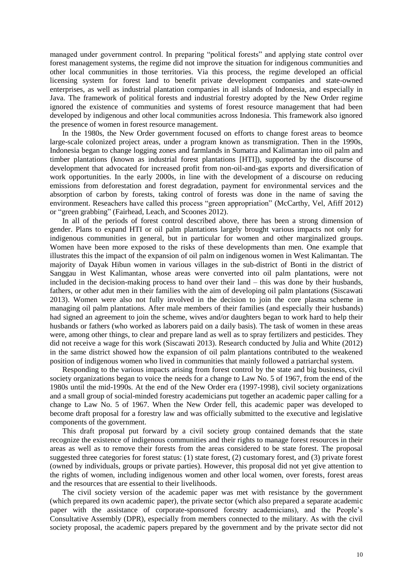managed under government control. In preparing "political forests" and applying state control over forest management systems, the regime did not improve the situation for indigenous communities and other local communities in those territories. Via this process, the regime developed an official licensing system for forest land to benefit private development companies and state-owned enterprises, as well as industrial plantation companies in all islands of Indonesia, and especially in Java. The framework of political forests and industrial forestry adopted by the New Order regime ignored the existence of communities and systems of forest resource management that had been developed by indigenous and other local communities across Indonesia. This framework also ignored the presence of women in forest resource management.

In the 1980s, the New Order government focused on efforts to change forest areas to beomce large-scale colonized project areas, under a program known as transmigration. Then in the 1990s, Indonesia began to change logging zones and farmlands in Sumatra and Kalimantan into oil palm and timber plantations (known as industrial forest plantations [HTI]), supported by the discourse of development that advocated for increased profit from non-oil-and-gas exports and diversification of work opportunities. In the early 2000s, in line with the development of a discourse on reducing emissions from deforestation and forest degradation, payment for environmental services and the absorption of carbon by forests, taking control of forests was done in the name of saving the environment. Reseachers have called this process "green appropriation" (McCarthy, Vel, Afiff 2012) or "green grabbing" (Fairhead, Leach, and Scoones 2012).

In all of the periods of forest control described above, there has been a strong dimension of gender. Plans to expand HTI or oil palm plantations largely brought various impacts not only for indigenous communities in general, but in particular for women and other marginalized groups. Women have been more exposed to the risks of these developments than men. One example that illustrates this the impact of the expansion of oil palm on indigenous women in West Kalimantan. The majority of Dayak Hibun women in various villages in the sub-district of Bonti in the district of Sanggau in West Kalimantan, whose areas were converted into oil palm plantations, were not included in the decision-making process to hand over their land – this was done by their husbands, fathers, or other adut men in their families with the aim of developing oil palm plantations (Siscawati 2013). Women were also not fully involved in the decision to join the core plasma scheme in managing oil palm plantations. After male members of their families (and especially their husbands) had signed an agreement to join the scheme, wives and/or daughters began to work hard to help their husbands or fathers (who worked as laborers paid on a daily basis). The task of women in these areas were, among other things, to clear and prepare land as well as to spray fertilizers and pesticides. They did not receive a wage for this work (Siscawati 2013). Research conducted by Julia and White (2012) in the same district showed how the expansion of oil palm plantations contributed to the weakened position of indigenous women who lived in communities that mainly followed a patriarchal system.

Responding to the various impacts arising from forest control by the state and big business, civil society organizations began to voice the needs for a change to Law No. 5 of 1967, from the end of the 1980s until the mid-1990s. At the end of the New Order era (1997-1998), civil society organizations and a small group of social-minded forestry academicians put together an academic paper calling for a change to Law No. 5 of 1967. When the New Order fell, this academic paper was developed to become draft proposal for a forestry law and was officially submitted to the executive and legislative components of the government.

This draft proposal put forward by a civil society group contained demands that the state recognize the existence of indigenous communities and their rights to manage forest resources in their areas as well as to remove their forests from the areas considered to be state forest. The proposal suggested three categories for forest status: (1) state forest, (2) customary forest, and (3) private forest (owned by individuals, groups or private parties). However, this proposal did not yet give attention to the rights of women, including indigenous women and other local women, over forests, forest areas and the resources that are essential to their livelihoods.

The civil society version of the academic paper was met with resistance by the government (which prepared its own academic paper), the private sector (which also prepared a separate academic paper with the assistance of corporate-sponsored forestry academicians), and the People's Consultative Assembly (DPR), especially from members connected to the military. As with the civil society proposal, the academic papers prepared by the government and by the private sector did not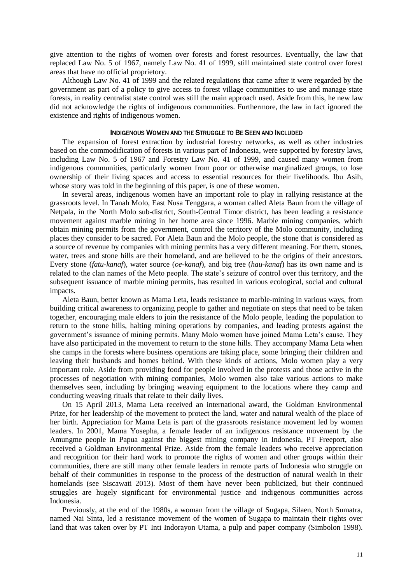give attention to the rights of women over forests and forest resources. Eventually, the law that replaced Law No. 5 of 1967, namely Law No. 41 of 1999, still maintained state control over forest areas that have no official proprietory.

Although Law No. 41 of 1999 and the related regulations that came after it were regarded by the government as part of a policy to give access to forest village communities to use and manage state forests, in reality centralist state control was still the main approach used. Aside from this, he new law did not acknowledge the rights of indigenous communities. Furthermore, the law in fact ignored the existence and rights of indigenous women.

### INDIGENOUS WOMEN AND THE STRUGGLE TO BE SEEN AND INCLUDED

The expansion of forest extraction by industrial forestry networks, as well as other industries based on the commodification of forests in various part of Indonesia, were supported by forestry laws, including Law No. 5 of 1967 and Forestry Law No. 41 of 1999, and caused many women from indigenous communities, particularly women from poor or otherwise marginalized groups, to lose ownership of their living spaces and access to essential resources for their livelihoods. Ibu Asih, whose story was told in the beginning of this paper, is one of these women.

In several areas, indigenous women have an important role to play in rallying resistance at the grassroots level. In Tanah Molo, East Nusa Tenggara, a woman called Aleta Baun from the village of Netpala, in the North Molo sub-district, South-Central Timor district, has been leading a resistance movement against marble mining in her home area since 1996. Marble mining companies, which obtain mining permits from the government, control the territory of the Molo community, including places they consider to be sacred. For Aleta Baun and the Molo people, the stone that is considered as a source of revenue by companies with mining permits has a very different meaning. For them, stones, water, trees and stone hills are their homeland, and are believed to be the origins of their ancestors. Every stone (*fatu-kanaf*), water source (*oe-kanaf*), and big tree (*hau-kanaf*) has its own name and is related to the clan names of the Meto people. The state's seizure of control over this territory, and the subsequent issuance of marble mining permits, has resulted in various ecological, social and cultural impacts.

Aleta Baun, better known as Mama Leta, leads resistance to marble-mining in various ways, from building critical awareness to organizing people to gather and negotiate on steps that need to be taken together, encouraging male elders to join the resistance of the Molo people, leading the population to return to the stone hills, halting mining operations by companies, and leading protests against the government's issuance of mining permits. Many Molo women have joined Mama Leta's cause. They have also participated in the movement to return to the stone hills. They accompany Mama Leta when she camps in the forests where business operations are taking place, some bringing their children and leaving their husbands and homes behind. With these kinds of actions, Molo women play a very important role. Aside from providing food for people involved in the protests and those active in the processes of negotiation with mining companies, Molo women also take various actions to make themselves seen, including by bringing weaving equipment to the locations where they camp and conducting weaving rituals that relate to their daily lives.

On 15 April 2013, Mama Leta received an international award, the Goldman Environmental Prize, for her leadership of the movement to protect the land, water and natural wealth of the place of her birth. Appreciation for Mama Leta is part of the grassroots resistance movement led by women leaders. In 2001, Mama Yosepha, a female leader of an indigenous resistance movement by the Amungme people in Papua against the biggest mining company in Indonesia, PT Freeport, also received a Goldman Environmental Prize. Aside from the female leaders who receive appreciation and recognition for their hard work to promote the rights of women and other groups within their communities, there are still many other female leaders in remote parts of Indonesia who struggle on behalf of their communities in response to the process of the destruction of natural wealth in their homelands (see Siscawati 2013). Most of them have never been publicized, but their continued struggles are hugely significant for environmental justice and indigenous communities across Indonesia.

Previously, at the end of the 1980s, a woman from the village of Sugapa, Silaen, North Sumatra, named Nai Sinta, led a resistance movement of the women of Sugapa to maintain their rights over land that was taken over by PT Inti Indorayon Utama, a pulp and paper company (Simbolon 1998).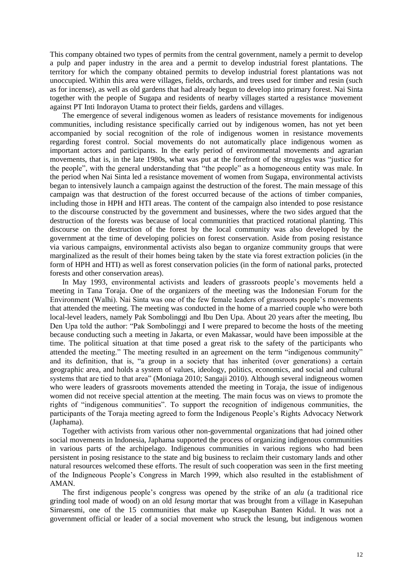This company obtained two types of permits from the central government, namely a permit to develop a pulp and paper industry in the area and a permit to develop industrial forest plantations. The territory for which the company obtained permits to develop industrial forest plantations was not unoccupied. Within this area were villages, fields, orchards, and trees used for timber and resin (such as for incense), as well as old gardens that had already begun to develop into primary forest. Nai Sinta together with the people of Sugapa and residents of nearby villages started a resistance movement against PT Inti Indorayon Utama to protect their fields, gardens and villages.

The emergence of several indigenous women as leaders of resistance movements for indigenous communities, including resistance specifically carried out by indigenous women, has not yet been accompanied by social recognition of the role of indigenous women in resistance movements regarding forest control. Social movements do not automatically place indigenous women as important actors and participants. In the early period of environmental movements and agrarian movements, that is, in the late 1980s, what was put at the forefront of the struggles was "justice for the people", with the general understanding that "the people" as a homogeneous entity was male. In the period when Nai Sinta led a resistance movement of women from Sugapa, environmental activists began to intensively launch a campaign against the destruction of the forest. The main message of this campaign was that destruction of the forest occurred because of the actions of timber companies, including those in HPH and HTI areas. The content of the campaign also intended to pose resistance to the discourse constructed by the government and businesses, where the two sides argued that the destruction of the forests was because of local communities that practiced rotational planting. This discourse on the destruction of the forest by the local community was also developed by the government at the time of developing policies on forest conservation. Aside from posing resistance via various campaigns, environmental activists also began to organize community groups that were marginalized as the result of their homes being taken by the state via forest extraction policies (in the form of HPH and HTI) as well as forest conservation policies (in the form of national parks, protected forests and other conservation areas).

In May 1993, environmental activists and leaders of grassroots people's movements held a meeting in Tana Toraja. One of the organizers of the meeting was the Indonesian Forum for the Environment (Walhi). Nai Sinta was one of the few female leaders of grassroots people's movements that attended the meeting. The meeting was conducted in the home of a married couple who were both local-level leaders, namely Pak Sombolinggi and Ibu Den Upa. About 20 years after the meeting, Ibu Den Upa told the author: "Pak Sombolinggi and I were prepared to become the hosts of the meeting because conducting such a meeting in Jakarta, or even Makassar, would have been impossible at the time. The political situation at that time posed a great risk to the safety of the participants who attended the meeting." The meeting resulted in an agreement on the term "indigenous community" and its definition, that is, "a group in a society that has inherited (over generations) a certain geographic area, and holds a system of values, ideology, politics, economics, and social and cultural systems that are tied to that area" (Moniaga 2010; Sangaji 2010). Although several indigneous women who were leaders of grassroots movements attended the meeting in Toraja, the issue of indigenous women did not receive special attention at the meeting. The main focus was on views to promote the rights of "indigenous communities". To support the recognition of indigenous communities, the participants of the Toraja meeting agreed to form the Indigenous People's Rights Advocacy Network (Japhama).

Together with activists from various other non-governmental organizations that had joined other social movements in Indonesia, Japhama supported the process of organizing indigenous communities in various parts of the archipelago. Indigenous communities in various regions who had been persistent in posing resistance to the state and big business to reclaim their customary lands and other natural resources welcomed these efforts. The result of such cooperation was seen in the first meeting of the Indigneous People's Congress in March 1999, which also resulted in the establishment of AMAN.

The first indigenous people's congress was opened by the strike of an *alu* (a traditional rice grinding tool made of wood) on an old *lesung* mortar that was brought from a village in Kasepuhan Sirnaresmi, one of the 15 communities that make up Kasepuhan Banten Kidul. It was not a government official or leader of a social movement who struck the lesung, but indigenous women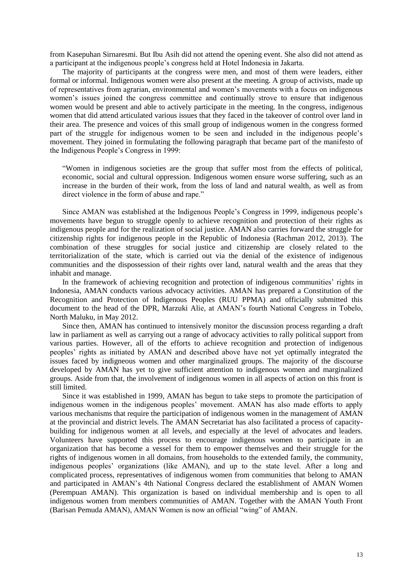from Kasepuhan Sirnaresmi. But Ibu Asih did not attend the opening event. She also did not attend as a participant at the indigenous people's congress held at Hotel Indonesia in Jakarta.

The majority of participants at the congress were men, and most of them were leaders, either formal or informal. Indigenous women were also present at the meeting. A group of activists, made up of representatives from agrarian, environmental and women's movements with a focus on indigenous women's issues joined the congress committee and continually strove to ensure that indigenous women would be present and able to actively participate in the meeting. In the congress, indigenous women that did attend articulated various issues that they faced in the takeover of control over land in their area. The presence and voices of this small group of indigenous women in the congress formed part of the struggle for indigenous women to be seen and included in the indigenous people's movement. They joined in formulating the following paragraph that became part of the manifesto of the Indigenous People's Congress in 1999:

"Women in indigenous societies are the group that suffer most from the effects of political, economic, social and cultural oppression. Indigenous women ensure worse suffering, such as an increase in the burden of their work, from the loss of land and natural wealth, as well as from direct violence in the form of abuse and rape."

Since AMAN was established at the Indigenous People's Congress in 1999, indigenous people's movements have begun to struggle openly to achieve recognition and protection of their rights as indigenous people and for the realization of social justice. AMAN also carries forward the struggle for citizenship rights for indigenous people in the Republic of Indonesia (Rachman 2012, 2013). The combination of these struggles for social justice and citizenship are closely related to the territorialization of the state, which is carried out via the denial of the existence of indigenous communities and the dispossession of their rights over land, natural wealth and the areas that they inhabit and manage.

In the framework of achieving recognition and protection of indigenous communities' rights in Indonesia, AMAN conducts various advocacy activities. AMAN has prepared a Constitution of the Recognition and Protection of Indigenous Peoples (RUU PPMA) and officially submitted this document to the head of the DPR, Marzuki Alie, at AMAN's fourth National Congress in Tobelo, North Maluku, in May 2012.

Since then, AMAN has continued to intensively monitor the discussion process regarding a draft law in parliament as well as carrying out a range of advocacy activities to rally political support from various parties. However, all of the efforts to achieve recognition and protection of indigenous peoples' rights as initiated by AMAN and described above have not yet optimally integrated the issues faced by indigneous women and other marginalized groups. The majority of the discourse developed by AMAN has yet to give sufficient attention to indigenous women and marginalized groups. Aside from that, the involvement of indigenous women in all aspects of action on this front is still limited.

Since it was established in 1999, AMAN has begun to take steps to promote the participation of indigenous women in the indigenous peoples' movement. AMAN has also made efforts to apply various mechanisms that require the participation of indigenous women in the management of AMAN at the provincial and district levels. The AMAN Secretariat has also facilitated a process of capacitybuilding for indigenous women at all levels, and especially at the level of advocates and leaders. Volunteers have supported this process to encourage indigenous women to participate in an organization that has become a vessel for them to empower themselves and their struggle for the rights of indigenous women in all domains, from households to the extended family, the community, indigenous peoples' organizations (like AMAN), and up to the state level. After a long and complicated process, representatives of indigenous women from communities that belong to AMAN and participated in AMAN's 4th National Congress declared the establishment of AMAN Women (Perempuan AMAN). This organization is based on individual membership and is open to all indigenous women from members communities of AMAN. Together with the AMAN Youth Front (Barisan Pemuda AMAN), AMAN Women is now an official "wing" of AMAN.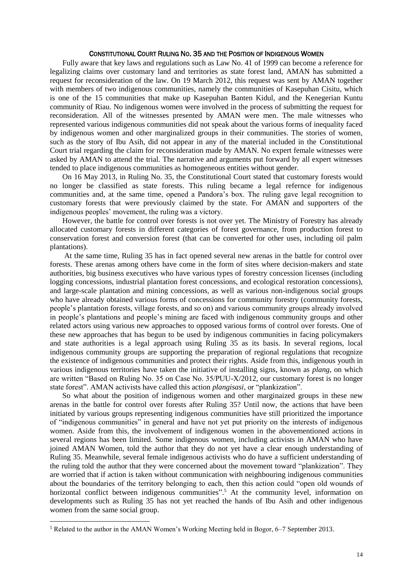## CONSTITUTIONAL COURT RULING NO. 35 AND THE POSITION OF INDIGENOUS WOMEN

Fully aware that key laws and regulations such as Law No. 41 of 1999 can become a reference for legalizing claims over customary land and territories as state forest land, AMAN has submitted a request for reconsideration of the law. On 19 March 2012, this request was sent by AMAN together with members of two indigenous communities, namely the communities of Kasepuhan Cisitu, which is one of the 15 communities that make up Kasepuhan Banten Kidul, and the Kenegerian Kuntu community of Riau. No indigenous women were involved in the process of submitting the request for reconsideration. All of the witnesses presented by AMAN were men. The male witnesses who represented various indigenous communities did not speak about the various forms of inequality faced by indigenous women and other marginalized groups in their communities. The stories of women, such as the story of Ibu Asih, did not appear in any of the material included in the Constitutional Court trial regarding the claim for reconsideration made by AMAN. No expert female witnesses were asked by AMAN to attend the trial. The narrative and arguments put forward by all expert witnesses tended to place indigenous communities as homogeneous entities without gender.

On 16 May 2013, in Ruling No. 35, the Constitutional Court stated that customary forests would no longer be classified as state forests. This ruling became a legal refernce for indigenous communities and, at the same time, opened a Pandora's box. The ruling gave legal recognition to customary forests that were previously claimed by the state. For AMAN and supporters of the indigenous peoples' movement, the ruling was a victory.

However, the battle for control over forests is not over yet. The Ministry of Forestry has already allocated customary forests in different categories of forest governance, from production forest to conservation forest and conversion forest (that can be converted for other uses, including oil palm plantations).

At the same time, Ruling 35 has in fact opened several new arenas in the battle for control over forests. These arenas among others have come in the form of sites where decision-makers and state authorities, big business executives who have various types of forestry concession licenses (including logging concessions, industrial plantation forest concessions, and ecological restoration concessions), and large-scale plantation and mining concessions, as well as various non-indigenous social groups who have already obtained various forms of concessions for community forestry (community forests, people's plantation forests, village forests, and so on) and various community groups already involved in people's plantations and people's mining are faced with indigenous community groups and other related actors using various new approaches to opposed various forms of control over forests. One of these new approaches that has begun to be used by indigenous communities in facing policymakers and state authorities is a legal approach using Ruling 35 as its basis. In several regions, local indigenous community groups are supporting the preparation of regional regulations that recognize the existence of indigenous communities and protect their rights. Aside from this, indigenous youth in various indigenous territories have taken the initiative of installing signs, known as *plang*, on which are written "Based on Ruling No. 35 on Case No. 35/PUU-X/2012, our customary forest is no longer state forest". AMAN activists have called this action *plangisasi*, or "plankization".

So what about the position of indigenous women and other marginaized groups in these new arenas in the battle for control over forests after Ruling 35? Until now, the actions that have been initiated by various groups representing indigenous communities have still prioritized the importance of "indigenous communities" in general and have not yet put priority on the interests of indigenous women. Aside from this, the involvement of indigenous women in the abovementioned actions in several regions has been limited. Some indigenous women, including activists in AMAN who have joined AMAN Women, told the author that they do not yet have a clear enough understanding of Ruling 35. Meanwhile, several female indigenous activists who do have a sufficient understanding of the ruling told the author that they were concerned about the movement toward "plankization". They are worried that if action is taken without communication with neighbouring indigenous communities about the boundaries of the territory belonging to each, then this action could "open old wounds of horizontal conflict between indigenous communities".<sup>5</sup> At the community level, information on developments such as Ruling 35 has not yet reached the hands of Ibu Asih and other indigenous women from the same social group.

**.** 

<sup>5</sup> Related to the author in the AMAN Women's Working Meeting held in Bogor, 6–7 September 2013.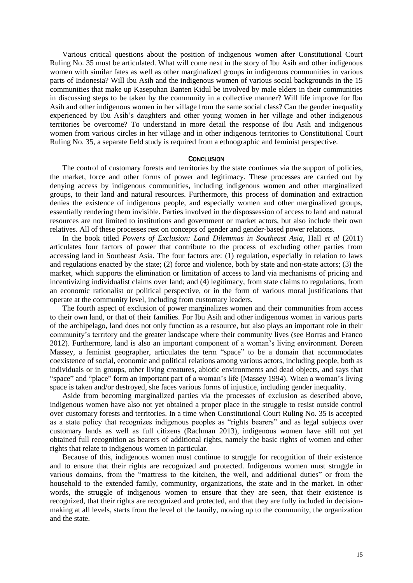Various critical questions about the position of indigenous women after Constitutional Court Ruling No. 35 must be articulated. What will come next in the story of Ibu Asih and other indigenous women with similar fates as well as other marginalized groups in indigenous communities in various parts of Indonesia? Will Ibu Asih and the indigenous women of various social backgrounds in the 15 communities that make up Kasepuhan Banten Kidul be involved by male elders in their communities in discussing steps to be taken by the community in a collective manner? Will life improve for Ibu Asih and other indigenous women in her village from the same social class? Can the gender inequality experienced by Ibu Asih's daughters and other young women in her village and other indigenous territories be overcome? To understand in more detail the response of Ibu Asih and indigenous women from various circles in her village and in other indigenous territories to Constitutional Court Ruling No. 35, a separate field study is required from a ethnographic and feminist perspective.

#### **CONCLUSION**

The control of customary forests and territories by the state continues via the support of policies, the market, force and other forms of power and legitimacy. These processes are carried out by denying access by indigenous communities, including indigenous women and other marginalized groups, to their land and natural resources. Furthermore, this process of domination and extraction denies the existence of indigenous people, and especially women and other marginalized groups, essentially rendering them invisible. Parties involved in the dispossession of access to land and natural resources are not limited to institutions and government or market actors, but also include their own relatives. All of these processes rest on concepts of gender and gender-based power relations.

In the book titled *Powers of Exclusion: Land Dilemmas in Southeast Asia*, Hall *et al* (2011) articulates four factors of power that contribute to the process of excluding other parties from accessing land in Southeast Asia. The four factors are: (1) regulation, especially in relation to laws and regulations enacted by the state; (2) force and violence, both by state and non-state actors; (3) the market, which supports the elimination or limitation of access to land via mechanisms of pricing and incentivizing individualist claims over land; and (4) legitimacy, from state claims to regulations, from an economic rationalist or political perspective, or in the form of various moral justifications that operate at the community level, including from customary leaders.

The fourth aspect of exclusion of power marginalizes women and their communities from access to their own land, or that of their families. For Ibu Asih and other indigenous women in various parts of the archipelago, land does not only function as a resource, but also plays an important role in their community's territory and the greater landscape where their community lives (see Borras and Franco 2012). Furthermore, land is also an important component of a woman's living environment. Doreen Massey, a feminist geographer, articulates the term "space" to be a domain that accommodates coexistence of social, economic and political relations among various actors, including people, both as individuals or in groups, other living creatures, abiotic environments and dead objects, and says that "space" and "place" form an important part of a woman's life (Massey 1994). When a woman's living space is taken and/or destroyed, she faces various forms of injustice, including gender inequality.

Aside from becoming marginalized parties via the processes of exclusion as described above, indigenous women have also not yet obtained a proper place in the struggle to resist outside control over customary forests and territories. In a time when Constitutional Court Ruling No. 35 is accepted as a state policy that recognizes indigenous peoples as "rights bearers" and as legal subjects over customary lands as well as full citizens (Rachman 2013), indigenous women have still not yet obtained full recognition as bearers of additional rights, namely the basic rights of women and other rights that relate to indigenous women in particular.

Because of this, indigenous women must continue to struggle for recognition of their existence and to ensure that their rights are recognized and protected. Indigenous women must struggle in various domains, from the "mattress to the kitchen, the well, and additional duties" or from the household to the extended family, community, organizations, the state and in the market. In other words, the struggle of indigenous women to ensure that they are seen, that their existence is recognized, that their rights are recognized and protected, and that they are fully included in decisionmaking at all levels, starts from the level of the family, moving up to the community, the organization and the state.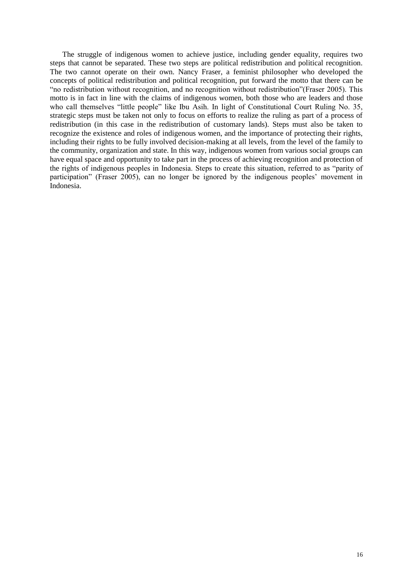The struggle of indigenous women to achieve justice, including gender equality, requires two steps that cannot be separated. These two steps are political redistribution and political recognition. The two cannot operate on their own. Nancy Fraser, a feminist philosopher who developed the concepts of political redistribution and political recognition, put forward the motto that there can be "no redistribution without recognition, and no recognition without redistribution"(Fraser 2005). This motto is in fact in line with the claims of indigenous women, both those who are leaders and those who call themselves "little people" like Ibu Asih. In light of Constitutional Court Ruling No. 35, strategic steps must be taken not only to focus on efforts to realize the ruling as part of a process of redistribution (in this case in the redistribution of customary lands). Steps must also be taken to recognize the existence and roles of indigenous women, and the importance of protecting their rights, including their rights to be fully involved decision-making at all levels, from the level of the family to the community, organization and state. In this way, indigenous women from various social groups can have equal space and opportunity to take part in the process of achieving recognition and protection of the rights of indigenous peoples in Indonesia. Steps to create this situation, referred to as "parity of participation" (Fraser 2005), can no longer be ignored by the indigenous peoples' movement in Indonesia.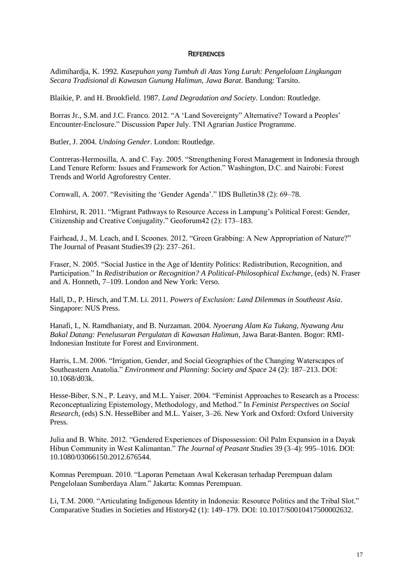# **REFERENCES**

Adimihardja, K. 1992. *Kasepuhan yang Tumbuh di Atas Yang Luruh: Pengelolaan Lingkungan Secara Tradisional di Kawasan Gunung Halimun, Jawa Barat*. Bandung: Tarsito.

Blaikie, P. and H. Brookfield. 1987. *Land Degradation and Society*. London: Routledge.

Borras Jr., S.M. and J.C. Franco. 2012. "A 'Land Sovereignty" Alternative? Toward a Peoples' Encounter-Enclosure." Discussion Paper July. TNI Agrarian Justice Programme.

Butler, J. 2004. *Undoing Gender*. London: Routledge.

Contreras-Hermosilla, A. and C. Fay. 2005. "Strengthening Forest Management in Indonesia through Land Tenure Reform: Issues and Framework for Action." Washington, D.C. and Nairobi: Forest Trends and World Agroforestry Center.

Cornwall, A. 2007. "Revisiting the 'Gender Agenda'." IDS Bulletin38 (2): 69–78.

Elmhirst, R. 2011. "Migrant Pathways to Resource Access in Lampung's Political Forest: Gender, Citizenship and Creative Conjugality." Geoforum42 (2): 173–183.

Fairhead, J., M. Leach, and I. Scoones. 2012. "Green Grabbing: A New Appropriation of Nature?" The Journal of Peasant Studies39 (2): 237–261.

Fraser, N. 2005. "Social Justice in the Age of Identity Politics: Redistribution, Recognition, and Participation." In *Redistribution or Recognition? A Political-Philosophical Exchange*, (eds) N. Fraser and A. Honneth, 7–109. London and New York: Verso.

Hall, D., P. Hirsch, and T.M. Li. 2011. *Powers of Exclusion: Land Dilemmas in Southeast Asia*. Singapore: NUS Press.

Hanafi, I., N. Ramdhaniaty, and B. Nurzaman. 2004. *Nyoerang Alam Ka Tukang, Nyawang Anu Bakal Datang: Penelusuran Pergulatan di Kawasan Halimun*, Jawa Barat-Banten. Bogor: RMI-Indonesian Institute for Forest and Environment.

Harris, L.M. 2006. "Irrigation, Gender, and Social Geographies of the Changing Waterscapes of Southeastern Anatolia." *Environment and Planning*: *Society and Space* 24 (2): 187–213. DOI: 10.1068/d03k.

Hesse-Biber, S.N., P. Leavy, and M.L. Yaiser. 2004. "Feminist Approaches to Research as a Process: Reconceptualizing Epistemology, Methodology, and Method." In *Feminist Perspectives on Social Research*, (eds) S.N. HesseBiber and M.L. Yaiser, 3–26. New York and Oxford: Oxford University Press.

Julia and B. White. 2012. "Gendered Experiences of Dispossession: Oil Palm Expansion in a Dayak Hibun Community in West Kalimantan." *The Journal of Peasant Studies* 39 (3–4): 995–1016. DOI: 10.1080/03066150.2012.676544.

Komnas Perempuan. 2010. "Laporan Pemetaan Awal Kekerasan terhadap Perempuan dalam Pengelolaan Sumberdaya Alam." Jakarta: Komnas Perempuan.

Li, T.M. 2000. "Articulating Indigenous Identity in Indonesia: Resource Politics and the Tribal Slot." Comparative Studies in Societies and History42 (1): 149–179. DOI: 10.1017/S0010417500002632.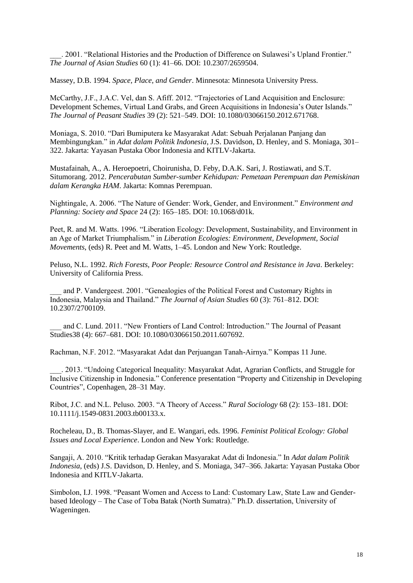\_\_\_. 2001. "Relational Histories and the Production of Difference on Sulawesi's Upland Frontier." *The Journal of Asian Studies* 60 (1): 41–66. DOI: 10.2307/2659504.

Massey, D.B. 1994. *Space, Place, and Gender*. Minnesota: Minnesota University Press.

McCarthy, J.F., J.A.C. Vel, dan S. Afiff. 2012. "Trajectories of Land Acquisition and Enclosure: Development Schemes, Virtual Land Grabs, and Green Acquisitions in Indonesia's Outer Islands." *The Journal of Peasant Studies* 39 (2): 521–549. DOI: 10.1080/03066150.2012.671768.

Moniaga, S. 2010. "Dari Bumiputera ke Masyarakat Adat: Sebuah Perjalanan Panjang dan Membingungkan." in *Adat dalam Politik Indonesia*, J.S. Davidson, D. Henley, and S. Moniaga, 301– 322. Jakarta: Yayasan Pustaka Obor Indonesia and KITLV-Jakarta.

Mustafainah, A., A. Heroepoetri, Choirunisha, D. Feby, D.A.K. Sari, J. Rostiawati, and S.T. Situmorang. 2012. *Pencerabutan Sumber-sumber Kehidupan: Pemetaan Perempuan dan Pemiskinan dalam Kerangka HAM*. Jakarta: Komnas Perempuan.

Nightingale, A. 2006. "The Nature of Gender: Work, Gender, and Environment." *Environment and Planning: Society and Space* 24 (2): 165–185. DOI: 10.1068/d01k.

Peet, R. and M. Watts. 1996. "Liberation Ecology: Development, Sustainability, and Environment in an Age of Market Triumphalism." in *Liberation Ecologies: Environment, Development, Social Movements*, (eds) R. Peet and M. Watts, 1–45. London and New York: Routledge.

Peluso, N.L. 1992. *Rich Forests, Poor People: Resource Control and Resistance in Java*. Berkeley: University of California Press.

\_\_\_ and P. Vandergeest. 2001. "Genealogies of the Political Forest and Customary Rights in Indonesia, Malaysia and Thailand." *The Journal of Asian Studies* 60 (3): 761–812. DOI: 10.2307/2700109.

\_\_\_ and C. Lund. 2011. "New Frontiers of Land Control: Introduction." The Journal of Peasant Studies38 (4): 667–681. DOI: 10.1080/03066150.2011.607692.

Rachman, N.F. 2012. "Masyarakat Adat dan Perjuangan Tanah-Airnya." Kompas 11 June.

2013. "Undoing Categorical Inequality: Masyarakat Adat, Agrarian Conflicts, and Struggle for Inclusive Citizenship in Indonesia." Conference presentation "Property and Citizenship in Developing Countries", Copenhagen, 28–31 May.

Ribot, J.C. and N.L. Peluso. 2003. "A Theory of Access." *Rural Sociology* 68 (2): 153–181. DOI: 10.1111/j.1549-0831.2003.tb00133.x.

Rocheleau, D., B. Thomas-Slayer, and E. Wangari, eds. 1996. *Feminist Political Ecology: Global Issues and Local Experience*. London and New York: Routledge.

Sangaji, A. 2010. "Kritik terhadap Gerakan Masyarakat Adat di Indonesia." In *Adat dalam Politik Indonesia*, (eds) J.S. Davidson, D. Henley, and S. Moniaga, 347–366. Jakarta: Yayasan Pustaka Obor Indonesia and KITLV-Jakarta.

Simbolon, I.J. 1998. "Peasant Women and Access to Land: Customary Law, State Law and Genderbased Ideology – The Case of Toba Batak (North Sumatra)." Ph.D. dissertation, University of Wageningen.